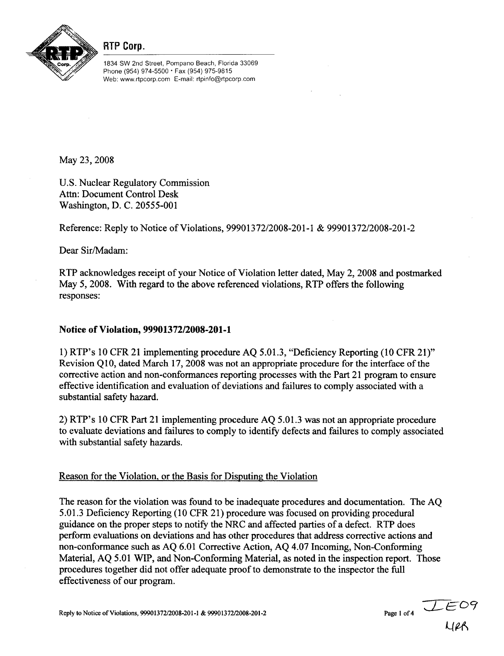

RTP Corp.

1834 SW 2nd Street, Pompano Beach, Florida 33069 Phone (954) 974-5500 • Fax (954) 975-9815 Web: www.rtpcorp.com E-mail: rtpinfo@rtpcorp.com

May 23, 2008

U.S. Nuclear Regulatory Commission Attn: Document Control Desk Washington, D. C. 20555-001

Reference: Reply to Notice of Violations, 99901372/2008-201-1 & 99901372/2008-201-2

Dear Sir/Madam:

RTP acknowledges receipt of your Notice of Violation letter dated, May 2, 2008 and postmarked May 5, 2008. With regard to the above referenced violations, RTP offers the following responses:

# Notice of Violation, **99901372/2008-201-1**

1) RTP's 10 CFR 21 implementing procedure AQ 5.01.3, "Deficiency Reporting (10 CFR 21)" Revision Q10, dated March 17, 2008 was not an appropriate procedure for the interface of the corrective action and non-conformances reporting processes with the Part 21 program to ensure effective identification and evaluation of deviations and failures to comply associated with a substantial safety hazard.

2) RTP's 10 CFR Part 21 implementing procedure AQ 5.01.3 was not an appropriate procedure to evaluate deviations and failures to comply to identify defects and failures to comply associated with substantial safety hazards.

# Reason for the Violation, or the Basis for Disputing the Violation

The reason for the violation was found to be inadequate procedures and documentation. The AQ 5.01.3 Deficiency Reporting (10 CFR 21) procedure was focused on providing procedural guidance on the proper steps to notify the NRC and affected parties of a defect. RTP does perform evaluations on deviations and has other procedures that address corrective actions and non-conformance such as AQ 6.01 Corrective Action, AQ 4.07 Incoming, Non-Conforming Material, AQ 5.01 WIP, and Non-Conforming Material, as noted in the inspection report. Those procedures together did not offer adequate proof to demonstrate to the inspector the full effectiveness of our program.

Reply to Notice of Violations, 99901372/2008-201-1 & 99901372/2008-201-2 Page 1 of 4

*CL-- E <sup>0</sup> Q4A*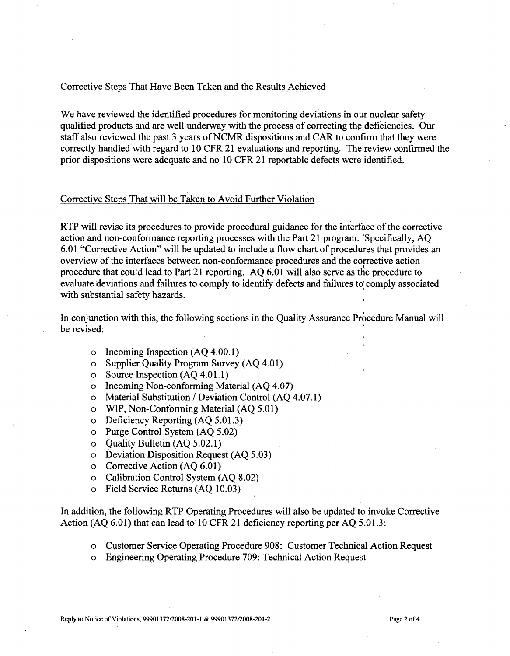## Corrective Steps That Have Been Taken and the Results Achieved

We have reviewed the identified procedures for monitoring deviations in our nuclear safety qualified products and are well underway with the process of correcting the deficiencies. Our staff also reviewed the past 3 years of NCMR dispositions and CAR to confirm that they were correctly handled with regard to 10 CFR 21 evaluations and reporting. The review confirmed the prior dispositions were adequate and no 10 CFR 21 reportable defects were identified.

## Corrective Steps That will be Taken to Avoid Further Violation

RTP will revise its procedures to provide procedural guidance for the interface of the corrective action and non-conformance reporting processes with the Part 21 program. 'Specifically, AQ 6.01 "Corrective Action" will be updated to include a flow chart of procedures that provides an overview of the interfaces between non-conformance procedures and the corrective action procedure that could lead to Part 21 reporting. AQ 6.01 will also serve as the procedure to evaluate deviations and failures to comply to identify defects and failures to comply associated with substantial safety hazards.

In conjunction with this, the following sections in the Quality Assurance Procedure Manual will be revised:

- o Incoming Inspection (AQ 4.00.1)
- o Supplier Quality Program Survey (AQ 4.01)
- o Source Inspection (AQ 4.01.1)
- o Incoming Non-conforming Material (AQ 4.07)
- o Material Substitution / Deviation Control (AQ 4.07.1)
- o WIP, Non-Conforming Material (AQ 5.01)
- o Deficiency Reporting (AQ 5.01.3)
- o Purge Control System (AQ 5.02)
- o Quality Bulletin (AQ 5.02.1)
- o Deviation Disposition Request (AQ 5.03)
- o Corrective Action (AQ 6.01)
- o Calibration Control System (AQ 8.02)
- o Field Service Returns (AQ 10.03)

In addition, the following RTP Operating Procedures will also be updated to invoke Corrective Action (AQ 6.01) that can lead to 10 CFR 21 deficiency reporting per AQ 5.01.3:

- o Customer Service Operating Procedure 908: Customer Technical Action Request
- o Engineering Operating Procedure 709: Technical Action Request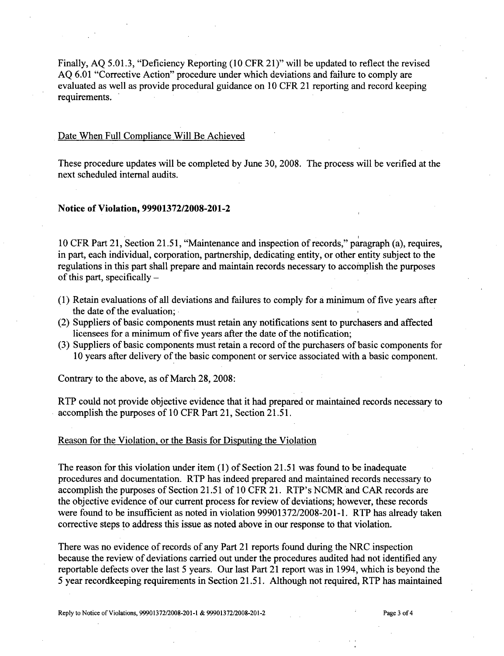Finally, AQ 5.01.3, "Deficiency Reporting (10 CFR 21)" will be updated to reflect the revised AQ 6.01 "Corrective Action" procedure under which deviations and failure to comply are evaluated as well as provide procedural guidance on 10 CFR 21 reporting and record keeping requirements.

### Date When Full Compliance Will Be Achieved

These procedure updates will be completed by June 30, 2008. The process will be verified at the next scheduled internal audits.

#### Notice of Violation, **99901372/2008-201-2**

10 CFR Part 21, Section 21.51, "Maintenance and inspection of records," paragraph (a), requires, in part, each individual, corporation, partnership, dedicating entity, or other entity subject to the regulations in this part shall prepare and maintain records necessary to accomplish the purposes of this part, specifically  $-$ 

- (1) Retain evaluations of all deviations and failures to comply for a minimum of five years after the date of the evaluation;.
- (2) Suppliers of basic components must retain any notifications sent to purchasers and affected licensees for a minimum of five years after the date of the notification;
- (3) Suppliers of basic components must retain a record of the purchasers of basic components for 10 years after delivery of the basic component or service associated with a basic component.

Contrary to the above, as of March 28, 2008:

RTP could not provide objective evidence that it had prepared or maintained records necessary to accomplish the purposes of 10 CFR Part 21, Section 21.51.

### Reason for the Violation, or the Basis for Disputing the Violation

The reason for this violation under item (1) of Section 21.51 was found to be inadequate procedures and documentation. RTP has indeed prepared and maintained records necessary to accomplish the purposes of Section 21.51 of 10 CFR 21. RTP's NCMR and CAR records are the objective evidence of our current process for review of deviations; however, these records were found to be insufficient as noted in violation 99901372/2008-201-1. RTP has already taken corrective steps to address this issue as noted above in our response to that violation.

There was no evidence of records of any Part 21 reports found during the NRC inspection because the review of deviations carried out under the procedures audited had not identified any reportable defects over the last 5 years. Our last Part 21 report was in 1994, which is beyond the 5 year recordkeeping requirements in Section 21.51. Although not required, RTP has maintained